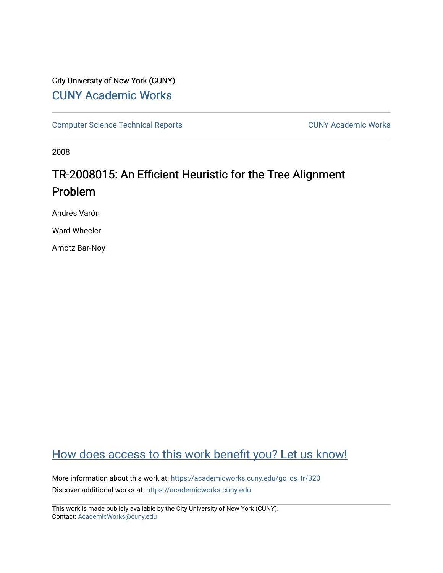## City University of New York (CUNY) [CUNY Academic Works](https://academicworks.cuny.edu/)

[Computer Science Technical Reports](https://academicworks.cuny.edu/gc_cs_tr) **CUNY Academic Works** CUNY Academic Works

2008

# TR-2008015: An Efficient Heuristic for the Tree Alignment Problem

Andrés Varón

Ward Wheeler

Amotz Bar-Noy

## [How does access to this work benefit you? Let us know!](http://ols.cuny.edu/academicworks/?ref=https://academicworks.cuny.edu/gc_cs_tr/320)

More information about this work at: [https://academicworks.cuny.edu/gc\\_cs\\_tr/320](https://academicworks.cuny.edu/gc_cs_tr/320)  Discover additional works at: [https://academicworks.cuny.edu](https://academicworks.cuny.edu/?)

This work is made publicly available by the City University of New York (CUNY). Contact: [AcademicWorks@cuny.edu](mailto:AcademicWorks@cuny.edu)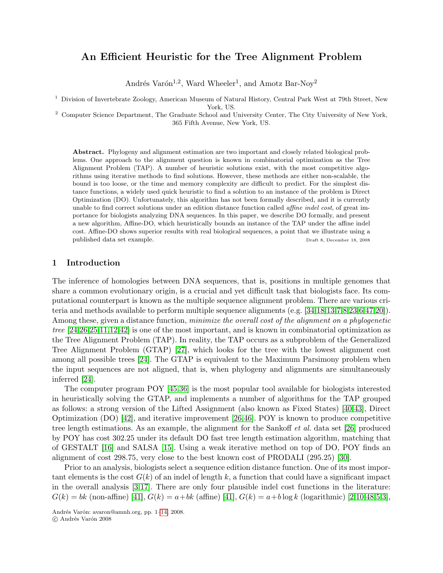## An Efficient Heuristic for the Tree Alignment Problem

Andrés Varón<sup>1,2</sup>, Ward Wheeler<sup>1</sup>, and Amotz Bar-Noy<sup>2</sup>

<sup>1</sup> Division of Invertebrate Zoology, American Museum of Natural History, Central Park West at 79th Street, New York, US.

<sup>2</sup> Computer Science Department, The Graduate School and University Center, The City University of New York, 365 Fifth Avenue, New York, US.

Abstract. Phylogeny and alignment estimation are two important and closely related biological problems. One approach to the alignment question is known in combinatorial optimization as the Tree Alignment Problem (TAP). A number of heuristic solutions exist, with the most competitive algorithms using iterative methods to find solutions. However, these methods are either non-scalable, the bound is too loose, or the time and memory complexity are difficult to predict. For the simplest distance functions, a widely used quick heuristic to find a solution to an instance of the problem is Direct Optimization (DO). Unfortunately, this algorithm has not been formally described, and it is currently unable to find correct solutions under an edition distance function called *affine indel cost*, of great importance for biologists analyzing DNA sequences. In this paper, we describe DO formally, and present a new algorithm, Affine-DO, which heuristically bounds an instance of the TAP under the affine indel cost. Affine-DO shows superior results with real biological sequences, a point that we illustrate using a published data set example. Draft 8, December 18, 2008

## 1 Introduction

The inference of homologies between DNA sequences, that is, positions in multiple genomes that share a common evolutionary origin, is a crucial and yet difficult task that biologists face. Its computational counterpart is known as the multiple sequence alignment problem. There are various criteria and methods available to perform multiple sequence alignments (e.g. [\[34,](#page-12-0)[18](#page-11-0)[,13](#page-11-1)[,7](#page-11-2)[,8](#page-11-3)[,23](#page-11-4)[,6,](#page-11-5)[47,](#page-12-1)[20\]](#page-11-6)). Among these, given a distance function, *minimize the overall cost of the alignment on a phylogenetic* tree [\[24,](#page-11-7)[26,](#page-11-8)[25,](#page-11-9)[11,](#page-11-10)[12,](#page-11-11)[42\]](#page-12-2) is one of the most important, and is known in combinatorial optimization as the Tree Alignment Problem (TAP). In reality, the TAP occurs as a subproblem of the Generalized Tree Alignment Problem (GTAP) [\[27\]](#page-11-12), which looks for the tree with the lowest alignment cost among all possible trees [\[24\]](#page-11-7). The GTAP is equivalent to the Maximum Parsimony problem when the input sequences are not aligned, that is, when phylogeny and alignments are simultaneously inferred [\[24\]](#page-11-7).

The computer program POY [\[45,](#page-12-3)[36\]](#page-12-4) is the most popular tool available for biologists interested in heuristically solving the GTAP, and implements a number of algorithms for the TAP grouped as follows: a strong version of the Lifted Assignment (also known as Fixed States) [\[40](#page-12-5)[,43\]](#page-12-6), Direct Optimization (DO) [\[42\]](#page-12-2), and iterative improvement [\[26](#page-11-8)[,46\]](#page-12-7). POY is known to produce competitive tree length estimations. As an example, the alignment for the Sankoff *et al.* data set [\[26\]](#page-11-8) produced by POY has cost 302.25 under its default DO fast tree length estimation algorithm, matching that of GESTALT [\[16\]](#page-11-13) and SALSA [\[15\]](#page-11-14). Using a weak iterative method on top of DO, POY finds an alignment of cost 298.75, very close to the best known cost of PRODALI (295.25) [\[30\]](#page-12-8).

Prior to an analysis, biologists select a sequence edition distance function. One of its most important elements is the cost  $G(k)$  of an indel of length k, a function that could have a significant impact in the overall analysis [\[3](#page-11-15)[,17\]](#page-11-16). There are only four plausible indel cost functions in the literature:  $G(k) = bk$  (non-affine) [\[41\]](#page-12-9),  $G(k) = a + bk$  (affine) [41],  $G(k) = a + b \log k$  (logarithmic) [\[2](#page-11-17)[,10](#page-11-18)[,48](#page-12-10)[,5](#page-11-19)[,3\]](#page-11-15),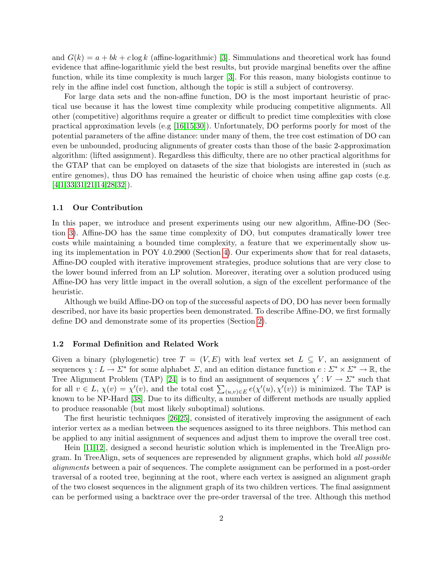and  $G(k) = a + bk + c \log k$  (affine-logarithmic) [\[3\]](#page-11-15). Simmulations and theoretical work has found evidence that affine-logarithmic yield the best results, but provide marginal benefits over the affine function, while its time complexity is much larger [\[3\]](#page-11-15). For this reason, many biologists continue to rely in the affine indel cost function, although the topic is still a subject of controversy.

For large data sets and the non-affine function, DO is the most important heuristic of practical use because it has the lowest time complexity while producing competitive alignments. All other (competitive) algorithms require a greater or difficult to predict time complexities with close practical approximation levels (e.g [\[16](#page-11-13)[,15](#page-11-14)[,30\]](#page-12-8)). Unfortunately, DO performs poorly for most of the potential parameters of the affine distance: under many of them, the tree cost estimation of DO can even be unbounded, producing alignments of greater costs than those of the basic 2-approximation algorithm: (lifted assignment). Regardless this difficulty, there are no other practical algorithms for the GTAP that can be employed on datasets of the size that biologists are interested in (such as entire genomes), thus DO has remained the heuristic of choice when using affine gap costs (e.g.  $[4,1,33,31,21,14,28,32]$  $[4,1,33,31,21,14,28,32]$  $[4,1,33,31,21,14,28,32]$  $[4,1,33,31,21,14,28,32]$  $[4,1,33,31,21,14,28,32]$  $[4,1,33,31,21,14,28,32]$  $[4,1,33,31,21,14,28,32]$  $[4,1,33,31,21,14,28,32]$ .

#### 1.1 Our Contribution

In this paper, we introduce and present experiments using our new algorithm, Affine-DO (Section [3\)](#page-5-0). Affine-DO has the same time complexity of DO, but computes dramatically lower tree costs while maintaining a bounded time complexity, a feature that we experimentally show using its implementation in POY 4.0.2900 (Section [4\)](#page-8-0). Our experiments show that for real datasets, Affine-DO coupled with iterative improvement strategies, produce solutions that are very close to the lower bound inferred from an LP solution. Moreover, iterating over a solution produced using Affine-DO has very little impact in the overall solution, a sign of the excellent performance of the heuristic.

Although we build Affine-DO on top of the successful aspects of DO, DO has never been formally described, nor have its basic properties been demonstrated. To describe Affine-DO, we first formally define DO and demonstrate some of its properties (Section [2\)](#page-3-0).

#### 1.2 Formal Definition and Related Work

Given a binary (phylogenetic) tree  $T = (V, E)$  with leaf vertex set  $L \subseteq V$ , an assignment of sequences  $\chi: L \to \Sigma^*$  for some alphabet  $\Sigma$ , and an edition distance function  $e: \Sigma^* \times \Sigma^* \to \mathbb{R}$ , the Tree Alignment Problem (TAP) [\[24\]](#page-11-7) is to find an assignment of sequences  $\chi' : V \to \Sigma^*$  such that for all  $v \in L$ ,  $\chi(v) = \chi'(v)$ , and the total cost  $\sum_{(u,v)\in E} e(\chi'(u), \chi'(v))$  is minimized. The TAP is known to be NP-Hard [\[38\]](#page-12-15). Due to its difficulty, a number of different methods are usually applied to produce reasonable (but most likely suboptimal) solutions.

The first heuristic techniques [\[26,](#page-11-8)[25\]](#page-11-9), consisted of iteratively improving the assignment of each interior vertex as a median between the sequences assigned to its three neighbors. This method can be applied to any initial assignment of sequences and adjust them to improve the overall tree cost.

Hein [\[11](#page-11-10)[,12\]](#page-11-11), designed a second heuristic solution which is implemented in the TreeAlign program. In TreeAlign, sets of sequences are represended by alignment graphs, which hold all possible alignments between a pair of sequences. The complete assignment can be performed in a post-order traversal of a rooted tree, beginning at the root, where each vertex is assigned an alignment graph of the two closest sequences in the alignment graph of its two children vertices. The final assignment can be performed using a backtrace over the pre-order traversal of the tree. Although this method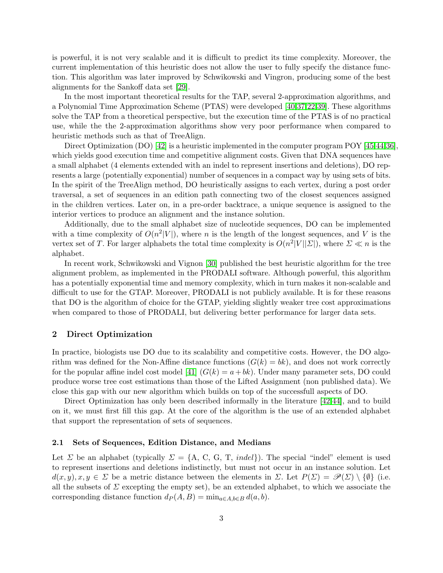is powerful, it is not very scalable and it is difficult to predict its time complexity. Moreover, the current implementation of this heuristic does not allow the user to fully specify the distance function. This algorithm was later improved by Schwikowski and Vingron, producing some of the best alignments for the Sankoff data set [\[29\]](#page-12-17).

In the most important theoretical results for the TAP, several 2-approximation algorithms, and a Polynomial Time Approximation Scheme (PTAS) were developed [\[40,](#page-12-5)[37](#page-12-18)[,22](#page-11-24)[,39\]](#page-12-19). These algorithms solve the TAP from a theoretical perspective, but the execution time of the PTAS is of no practical use, while the the 2-approximation algorithms show very poor performance when compared to heuristic methods such as that of TreeAlign.

Direct Optimization (DO) [\[42\]](#page-12-2) is a heuristic implemented in the computer program POY [\[45,](#page-12-3)[44,](#page-12-16)[36\]](#page-12-4), which yields good execution time and competitive alignment costs. Given that DNA sequences have a small alphabet (4 elements extended with an indel to represent insertions and deletions), DO represents a large (potentially exponential) number of sequences in a compact way by using sets of bits. In the spirit of the TreeAlign method, DO heuristically assigns to each vertex, during a post order traversal, a set of sequences in an edition path connecting two of the closest sequences assigned in the children vertices. Later on, in a pre-order backtrace, a unique sequence is assigned to the interior vertices to produce an alignment and the instance solution.

Additionally, due to the small alphabet size of nucleotide sequences, DO can be implemented with a time complexity of  $O(n^2|V|)$ , where n is the length of the longest sequences, and V is the vertex set of T. For larger alphabets the total time complexity is  $O(n^2|V||\Sigma|)$ , where  $\Sigma \ll n$  is the alphabet.

In recent work, Schwikowski and Vignon [\[30\]](#page-12-8) published the best heuristic algorithm for the tree alignment problem, as implemented in the PRODALI software. Although powerful, this algorithm has a potentially exponential time and memory complexity, which in turn makes it non-scalable and difficult to use for the GTAP. Moreover, PRODALI is not publicly available. It is for these reasons that DO is the algorithm of choice for the GTAP, yielding slightly weaker tree cost approximations when compared to those of PRODALI, but delivering better performance for larger data sets.

## <span id="page-3-0"></span>2 Direct Optimization

In practice, biologists use DO due to its scalability and competitive costs. However, the DO algorithm was defined for the Non-Affine distance functions  $(G(k) = bk)$ , and does not work correctly for the popular affine indel cost model [\[41\]](#page-12-9)  $(G(k) = a + bk)$ . Under many parameter sets, DO could produce worse tree cost estimations than those of the Lifted Assignment (non published data). We close this gap with our new algorithm which builds on top of the successfull aspects of DO.

Direct Optimization has only been described informally in the literature [\[42](#page-12-2)[,44\]](#page-12-16), and to build on it, we must first fill this gap. At the core of the algorithm is the use of an extended alphabet that support the representation of sets of sequences.

#### 2.1 Sets of Sequences, Edition Distance, and Medians

Let  $\Sigma$  be an alphabet (typically  $\Sigma = \{A, C, G, T, \text{ indel}\}\$ ). The special "indel" element is used to represent insertions and deletions indistinctly, but must not occur in an instance solution. Let  $d(x, y), x, y \in \Sigma$  be a metric distance between the elements in  $\Sigma$ . Let  $P(\Sigma) = \mathscr{P}(\Sigma) \setminus \{\emptyset\}$  (i.e. all the subsets of  $\Sigma$  excepting the empty set), be an extended alphabet, to which we associate the corresponding distance function  $d_P(A, B) = \min_{a \in A, b \in B} d(a, b)$ .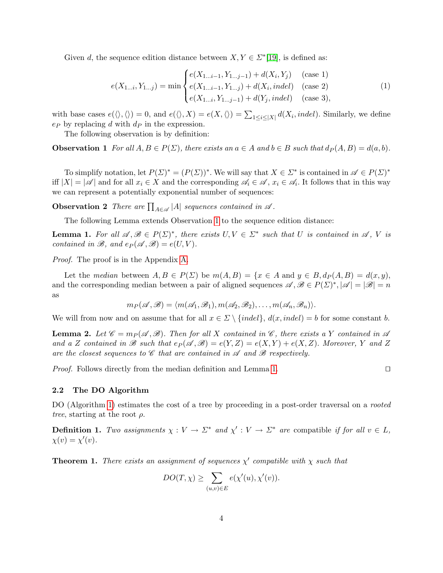Given d, the sequence edition distance between  $X, Y \in \mathbb{Z}^*$ [\[19\]](#page-11-25), is defined as:

<span id="page-4-5"></span><span id="page-4-1"></span>
$$
e(X_{1...i}, Y_{1...j}) = \min \begin{cases} e(X_{1...i-1}, Y_{1...j-1}) + d(X_i, Y_j) & \text{(case 1)}\\ e(X_{1...i-1}, Y_{1...j}) + d(X_i, in del) & \text{(case 2)}\\ e(X_{1...i}, Y_{1...j-1}) + d(Y_j, in del) & \text{(case 3)}, \end{cases}
$$
(1)

with base cases  $e(\langle \rangle, \langle \rangle) = 0$ , and  $e(\langle \rangle, X) = e(X, \langle \rangle) = \sum_{1 \leq i \leq |X|} d(X_i, indel)$ . Similarly, we define e*<sup>P</sup>* by replacing d with d*<sup>P</sup>* in the expression.

The following observation is by definition:

**Observation 1** For all  $A, B \in P(\Sigma)$ , there exists an  $a \in A$  and  $b \in B$  such that  $d_P(A, B) = d(a, b)$ .

To simplify notation, let  $P(\Sigma)^* = (P(\Sigma))^*$ . We will say that  $X \in \Sigma^*$  is contained in  $\mathscr{A} \in P(\Sigma)^*$ iff  $|X| = |\mathscr{A}|$  and for all  $x_i \in X$  and the corresponding  $\mathscr{A}_i \in \mathscr{A}$ ,  $x_i \in \mathscr{A}_i$ . It follows that in this way we can represent a potentially exponential number of sequences:

**Observation 2** There are  $\prod_{A \in \mathscr{A}} |A|$  sequences contained in  $\mathscr{A}$ .

The following Lemma extends Observation [1](#page-4-1) to the sequence edition distance:

**Lemma 1.** For all  $\mathscr{A}, \mathscr{B} \in P(\Sigma)^*$ , there exists  $U, V \in \Sigma^*$  such that U is contained in  $\mathscr{A}, V$  is contained in  $\mathscr{B}$ , and  $e_P(\mathscr{A}, \mathscr{B}) = e(U, V)$ .

Proof. The proof is in the Appendix [A.](#page-12-20)

Let the median between  $A, B \in P(\Sigma)$  be  $m(A, B) = \{x \in A \text{ and } y \in B, dp(A, B) = d(x, y),\}$ and the corresponding median between a pair of aligned sequences  $\mathscr{A}, \mathscr{B} \in P(\Sigma)^*$ ,  $|\mathscr{A}| = |\mathscr{B}| = n$ as

<span id="page-4-4"></span>
$$
m_P(\mathscr{A}, \mathscr{B}) = \langle m(\mathscr{A}_1, \mathscr{B}_1), m(\mathscr{A}_2, \mathscr{B}_2), \ldots, m(\mathscr{A}_n, \mathscr{B}_n) \rangle.
$$

We will from now and on assume that for all  $x \in \Sigma \setminus \{indel\}$ ,  $d(x, indel) = b$  for some constant b.

<span id="page-4-3"></span>**Lemma 2.** Let  $\mathscr{C} = m_P(\mathscr{A}, \mathscr{B})$ . Then for all X contained in  $\mathscr{C}$ , there exists a Y contained in  $\mathscr{A}$ and a Z contained in *B* such that  $e_P(\mathscr{A}, \mathscr{B}) = e(Y, Z) = e(X, Y) + e(X, Z)$ . Moreover, Y and Z are the closest sequences to  $\mathscr C$  that are contained in  $\mathscr A$  and  $\mathscr B$  respectively.

Proof. Follows directly from the median definition and Lemma [1.](#page-4-2)

<span id="page-4-2"></span>
$$
\overline{a}
$$

### 2.2 The DO Algorithm

DO (Algorithm [1\)](#page-4-0) estimates the cost of a tree by proceeding in a post-order traversal on a *rooted* tree, starting at the root  $\rho$ .

**Definition 1.** Two assignments  $\chi : V \to \Sigma^*$  and  $\chi' : V \to \Sigma^*$  are compatible if for all  $v \in L$ ,  $\chi(v) = \chi'(v).$ 

<span id="page-4-0"></span>**Theorem 1.** There exists an assignment of sequences  $\chi'$  compatible with  $\chi$  such that

$$
DO(T, \chi) \ge \sum_{(u,v)\in E} e(\chi'(u), \chi'(v)).
$$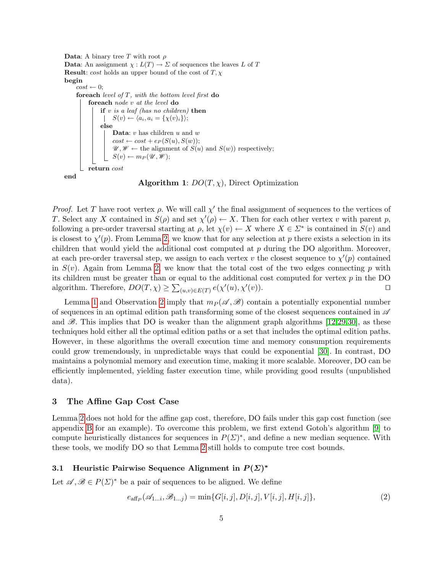```
Data: A binary tree T with root \rhoData: An assignment \chi: L(T) \to \Sigma of sequences the leaves L of T
Result: cost holds an upper bound of the cost of T, \chibegin
     cost \leftarrow 0;foreach level of T, with the bottom level first do
          foreach node v at the level do
               if v is a leaf (has no children) then
                  S(v) \leftarrow \langle a_i, a_i = {\chi(v)_i} \rangle;else
                    \mathbf{Data} \colon v has children u and wcost \leftarrow cost + e_P(S(u), S(w));\mathscr{U}, \mathscr{W} \leftarrow the alignment of S(u) and S(w)) respectively;
                   S(v) \leftarrow m_P(\mathscr{U}, \mathscr{W});return cost
end
```
Algorithm 1:  $DO(T, \chi)$ , Direct Optimization

*Proof.* Let T have root vertex  $\rho$ . We will call  $\chi'$  the final assignment of sequences to the vertices of T. Select any X contained in  $S(\rho)$  and set  $\chi'(\rho) \leftarrow X$ . Then for each other vertex v with parent p, following a pre-order traversal starting at  $\rho$ , let  $\chi(v) \leftarrow X$  where  $X \in \Sigma^*$  is contained in  $S(v)$  and is closest to  $\chi'(p)$ . From Lemma [2,](#page-4-3) we know that for any selection at p there exists a selection in its children that would yield the additional cost computed at p during the DO algorithm. Moreover, at each pre-order traversal step, we assign to each vertex v the closest sequence to  $\chi'(p)$  contained in  $S(v)$ . Again from Lemma [2,](#page-4-3) we know that the total cost of the two edges connecting p with its children must be greater than or equal to the additional cost computed for vertex  $p$  in the DO algorithm. Therefore,  $DO(T, \chi) \ge \sum_{(u,v) \in E(T)} e(\chi'(u), \chi'(u))$  $(v)$ ).

Lemma [1](#page-4-2) and Observation [2](#page-4-4) imply that  $m_P(\mathscr{A}, \mathscr{B})$  contain a potentially exponential number of sequences in an optimal edition path transforming some of the closest sequences contained in *A* and  $\mathscr{B}$ . This implies that DO is weaker than the alignment graph algorithms [\[12,](#page-11-11)[29,](#page-12-17)[30\]](#page-12-8), as these techniques hold either all the optimal edition paths or a set that includes the optimal edition paths. However, in these algorithms the overall execution time and memory consumption requirements could grow tremendously, in unpredictable ways that could be exponential [\[30\]](#page-12-8). In contrast, DO maintains a polynomial memory and execution time, making it more scalable. Moreover, DO can be efficiently implemented, yielding faster execution time, while providing good results (unpublished data).

## <span id="page-5-0"></span>3 The Affine Gap Cost Case

Lemma [2](#page-4-3) does not hold for the affine gap cost, therefore, DO fails under this gap cost function (see appendix [B](#page-13-0) for an example). To overcome this problem, we first extend Gotoh's algorithm [\[9\]](#page-11-26) to compute heuristically distances for sequences in  $P(\Sigma)^*$ , and define a new median sequence. With these tools, we modify DO so that Lemma [2](#page-4-3) still holds to compute tree cost bounds.

#### 3.1 Heuristic Pairwise Sequence Alignment in  $P(\Sigma)^*$

Let  $\mathscr{A}, \mathscr{B} \in P(\Sigma)^*$  be a pair of sequences to be aligned. We define

$$
e_{\text{aff}_P}(\mathscr{A}_{1...i}, \mathscr{B}_{1...j}) = \min\{G[i,j], D[i,j], V[i,j], H[i,j]\},\tag{2}
$$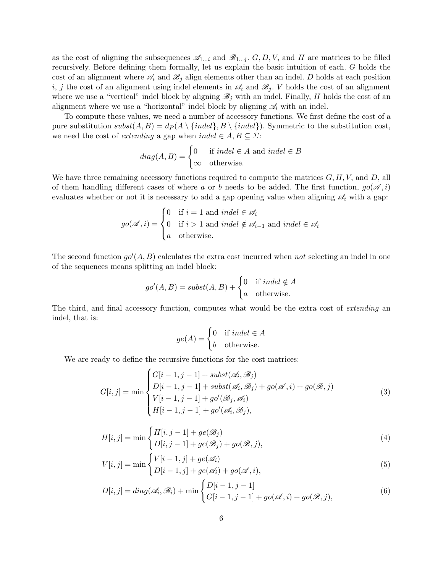as the cost of aligning the subsequences  $\mathscr{A}_{1...i}$  and  $\mathscr{B}_{1...i}$ .  $G, D, V$ , and H are matrices to be filled recursively. Before defining them formally, let us explain the basic intuition of each. G holds the cost of an alignment where  $\mathscr{A}_i$  and  $\mathscr{B}_j$  align elements other than an indel. D holds at each position i, j the cost of an alignment using indel elements in  $\mathscr{A}_i$  and  $\mathscr{B}_j$ . V holds the cost of an alignment where we use a "vertical" indel block by aligning  $\mathscr{B}_j$  with an indel. Finally, H holds the cost of an alignment where we use a "horizontal" indel block by aligning  $\mathscr{A}_i$  with an indel.

To compute these values, we need a number of accessory functions. We first define the cost of a pure substitution  $\text{subst}(A, B) = d_P(A \setminus \{\text{indel}\}, B \setminus \{\text{indel}\})$ . Symmetric to the substitution cost, we need the cost of *extending* a gap when  $indel \in A, B \subseteq \Sigma$ :

$$
diag(A, B) = \begin{cases} 0 & \text{if } indel \in A \text{ and } indel \in B \\ \infty & \text{otherwise.} \end{cases}
$$

We have three remaining accessory functions required to compute the matrices  $G, H, V$ , and  $D$ , all of them handling different cases of where a or b needs to be added. The first function,  $g\circ(\mathscr{A}, i)$ evaluates whether or not it is necessary to add a gap opening value when aligning  $\mathscr{A}_i$  with a gap:

$$
go(\mathscr{A}, i) = \begin{cases} 0 & \text{if } i = 1 \text{ and } indel \in \mathscr{A}_i \\ 0 & \text{if } i > 1 \text{ and } indel \notin \mathscr{A}_{i-1} \text{ and } indel \in \mathscr{A}_i \\ a & \text{otherwise.} \end{cases}
$$

The second function  $g\circ'(A, B)$  calculates the extra cost incurred when not selecting an indel in one of the sequences means splitting an indel block:

$$
go'(A, B) = subst(A, B) + \begin{cases} 0 & \text{if } indel \notin A \\ a & \text{otherwise.} \end{cases}
$$

The third, and final accessory function, computes what would be the extra cost of *extending* an indel, that is:

$$
ge(A) = \begin{cases} 0 & \text{if } indel \in A \\ b & \text{otherwise.} \end{cases}
$$

We are ready to define the recursive functions for the cost matrices:

<span id="page-6-0"></span>
$$
G[i,j] = \min \begin{cases} G[i-1,j-1] + subst(\mathcal{A}_i, \mathcal{B}_j) \\ D[i-1,j-1] + subst(\mathcal{A}_i, \mathcal{B}_j) + go(\mathcal{A}, i) + go(\mathcal{B}, j) \\ V[i-1,j-1] + go'(\mathcal{B}_j, \mathcal{A}_i) \\ H[i-1,j-1] + go'(\mathcal{A}_i, \mathcal{B}_j), \end{cases} \tag{3}
$$

$$
H[i,j] = \min\begin{cases} H[i,j-1] + ge(\mathcal{B}_j) \\ D[i,j-1] + ge(\mathcal{B}_j) + go(\mathcal{B},j), \end{cases}
$$
\n(4)

<span id="page-6-1"></span>
$$
V[i,j] = \min \begin{cases} V[i-1,j] + ge(\mathcal{A}_i) \\ D[i-1,j] + ae(\mathcal{A}_i) + go(\mathcal{A}_i). \end{cases}
$$
 (5)

$$
D[i,j] = diag(\mathscr{A}_i, \mathscr{B}_i) + \min\begin{cases} D[i-1,j-1] \\ G[i-1,j-1] + go(\mathscr{A},i) + go(\mathscr{B},j), \end{cases} (6)
$$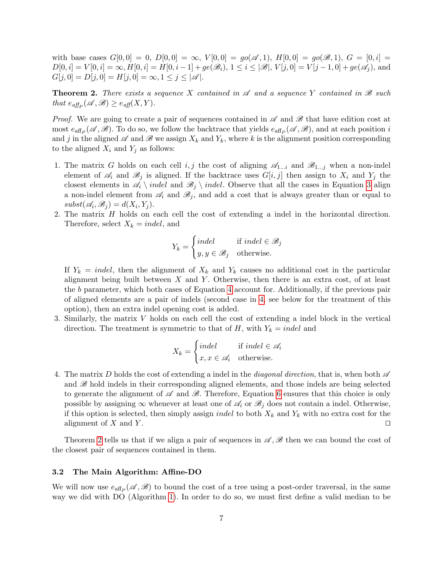with base cases  $G[0,0] = 0$ ,  $D[0,0] = \infty$ ,  $V[0,0] = go(\mathscr{A},1)$ ,  $H[0,0] = go(\mathscr{B},1)$ ,  $G = [0,i] =$  $D[0, i] = V[0, i] = \infty, H[0, i] = H[0, i - 1] + ge(\mathcal{B}_i), 1 \leq i \leq |\mathcal{B}|, V[j, 0] = V[j - 1, 0] + ge(\mathcal{A}_i)$ , and  $G[j, 0] = D[j, 0] = H[j, 0] = \infty, 1 \le j \le |\mathscr{A}|.$ 

<span id="page-7-0"></span>**Theorem 2.** There exists a sequence X contained in  $\mathscr A$  and a sequence Y contained in  $\mathscr B$  such that  $e_{aff_P}(\mathscr{A}, \mathscr{B}) \geq e_{aff}(X, Y)$ .

Proof. We are going to create a pair of sequences contained in  $\mathscr A$  and  $\mathscr B$  that have edition cost at most  $e_{\text{aff}_P}(\mathscr{A}, \mathscr{B})$ . To do so, we follow the backtrace that yields  $e_{\text{aff}_P}(\mathscr{A}, \mathscr{B})$ , and at each position i and j in the aligned  $\mathscr A$  and  $\mathscr B$  we assign  $X_k$  and  $Y_k$ , where k is the alignment position corresponding to the aligned  $X_i$  and  $Y_j$  as follows:

- 1. The matrix G holds on each cell i, j the cost of aligning  $\mathscr{A}_{1...i}$  and  $\mathscr{B}_{1...j}$  when a non-indel element of  $\mathscr{A}_i$  and  $\mathscr{B}_j$  is aligned. If the backtrace uses  $G[i, j]$  then assign to  $X_i$  and  $Y_j$  the closest elements in  $\mathscr{A}_i \setminus \text{indel}$  and  $\mathscr{B}_j \setminus \text{indel}$ . Observe that all the cases in Equation [3](#page-6-0) align a non-indel element from  $\mathscr{A}_i$  and  $\mathscr{B}_j$ , and add a cost that is always greater than or equal to  $subset(\mathcal{A}_i, \mathcal{B}_j) = d(X_i, Y_j).$
- 2. The matrix H holds on each cell the cost of extending a indel in the horizontal direction. Therefore, select  $X_k = indel$ , and

$$
Y_k = \begin{cases} indel & \text{if } indel \in \mathscr{B}_j \\ y, y \in \mathscr{B}_j & \text{otherwise.} \end{cases}
$$

If  $Y_k = indel$ , then the alignment of  $X_k$  and  $Y_k$  causes no additional cost in the particular alignment being built between  $X$  and  $Y$ . Otherwise, then there is an extra cost, of at least the b parameter, which both cases of Equation [4](#page-6-1) account for. Additionally, if the previous pair of aligned elements are a pair of indels (second case in [4,](#page-6-1) see below for the treatment of this option), then an extra indel opening cost is added.

3. Similarly, the matrix V holds on each cell the cost of extending a indel block in the vertical direction. The treatment is symmetric to that of  $H$ , with  $Y_k = indel$  and

$$
X_k = \begin{cases} indel & \text{if } indel \in \mathcal{A}_i \\ x, x \in \mathcal{A}_i & \text{otherwise.} \end{cases}
$$

4. The matrix D holds the cost of extending a indel in the diagonal direction, that is, when both *A* and *B* hold indels in their corresponding aligned elements, and those indels are being selected to generate the alignment of *A* and *B*. Therefore, Equation [6](#page-6-1) ensures that this choice is only possible by assigning  $\infty$  whenever at least one of  $\mathscr{A}_i$  or  $\mathscr{B}_j$  does not contain a indel. Otherwise, if this option is selected, then simply assign *indel* to both  $X_k$  and  $Y_k$  with no extra cost for the alignment of X and Y.

Theorem [2](#page-7-0) tells us that if we align a pair of sequences in *A* , *B* then we can bound the cost of the closest pair of sequences contained in them.

#### 3.2 The Main Algorithm: Affine-DO

We will now use  $e_{\text{aff}_P}(\mathscr{A}, \mathscr{B})$  to bound the cost of a tree using a post-order traversal, in the same way we did with DO (Algorithm [1\)](#page-4-0). In order to do so, we must first define a valid median to be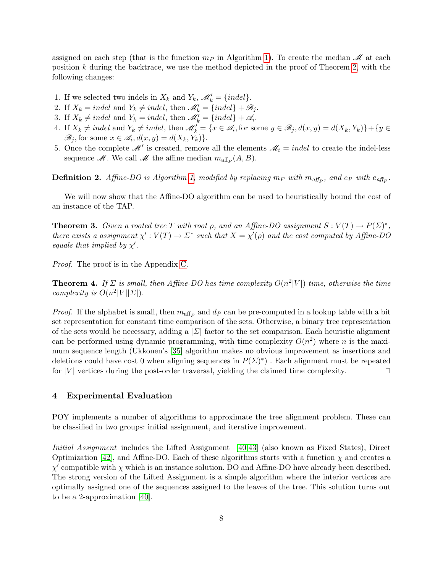assigned on each step (that is the function  $m_P$  in Algorithm [1\)](#page-4-0). To create the median  $\mathcal M$  at each position  $k$  during the backtrace, we use the method depicted in the proof of Theorem [2,](#page-7-0) with the following changes:

- 1. If we selected two indels in  $X_k$  and  $Y_k$ ,  $\mathscr{M}'_k = \{indel\}.$
- 2. If  $X_k = indel$  and  $Y_k \neq indel$ , then  $\mathcal{M}'_k = \{indel\} + \mathcal{B}_j$ .
- 3. If  $X_k \neq \text{indel}$  and  $Y_k = \text{indel}$ , then  $\mathcal{M}'_k = \{\text{indel}\} + \mathcal{A}_i$ .
- 4. If  $X_k \neq \text{indel}$  and  $Y_k \neq \text{indel}$ , then  $\mathscr{M}'_k = \{x \in \mathscr{A}_i, \text{for some } y \in \mathscr{B}_j, d(x, y) = d(X_k, Y_k)\} + \{y \in \mathscr{A}_i\}$  $\mathscr{B}_j$ , for some  $x \in \mathscr{A}_i$ ,  $d(x, y) = d(X_k, Y_k)$ .
- 5. Once the complete  $\mathcal{M}'$  is created, remove all the elements  $\mathcal{M}_i = indel$  to create the indel-less sequence *M*. We call *M* the affine median  $m_{\text{aff}_P}(A, B)$ .

**Definition 2.** Affine-DO is Algorithm [1,](#page-4-0) modified by replacing  $m_P$  with  $m_{\text{aff}_P}$ , and  $e_P$  with  $e_{\text{aff}_P}$ .

We will now show that the Affine-DO algorithm can be used to heuristically bound the cost of an instance of the TAP.

<span id="page-8-1"></span>**Theorem 3.** Given a rooted tree T with root  $\rho$ , and an Affine-DO assignment  $S: V(T) \to P(\Sigma)^*$ , there exists a assignment  $\chi' : V(T) \to \Sigma^*$  such that  $X = \chi'(\rho)$  and the cost computed by Affine-DO equals that implied by  $\chi'$ .

Proof. The proof is in the Appendix [C.](#page-13-1)

**Theorem 4.** If  $\Sigma$  is small, then Affine-DO has time complexity  $O(n^2|V|)$  time, otherwise the time complexity is  $O(n^2|V||\Sigma|)$ .

*Proof.* If the alphabet is small, then  $m_{\text{aff}_P}$  and  $d_P$  can be pre-computed in a lookup table with a bit set representation for constant time comparison of the sets. Otherwise, a binary tree representation of the sets would be necessary, adding a  $|\Sigma|$  factor to the set comparison. Each heuristic alignment can be performed using dynamic programming, with time complexity  $O(n^2)$  where n is the maximum sequence length (Ukkonen's [\[35\]](#page-12-21) algorithm makes no obvious improvement as insertions and deletions could have cost 0 when aligning sequences in  $P(\Sigma)^*$ ). Each alignment must be repeated for |V| vertices during the post-order traversal, yielding the claimed time complexity.  $\Box$ 

## <span id="page-8-0"></span>4 Experimental Evaluation

POY implements a number of algorithms to approximate the tree alignment problem. These can be classified in two groups: initial assignment, and iterative improvement.

Initial Assignment includes the Lifted Assignment [\[40](#page-12-5)[,43\]](#page-12-6) (also known as Fixed States), Direct Optimization [\[42\]](#page-12-2), and Affine-DO. Each of these algorithms starts with a function  $\chi$  and creates a  $\chi'$  compatible with  $\chi$  which is an instance solution. DO and Affine-DO have already been described. The strong version of the Lifted Assignment is a simple algorithm where the interior vertices are optimally assigned one of the sequences assigned to the leaves of the tree. This solution turns out to be a 2-approximation [\[40\]](#page-12-5).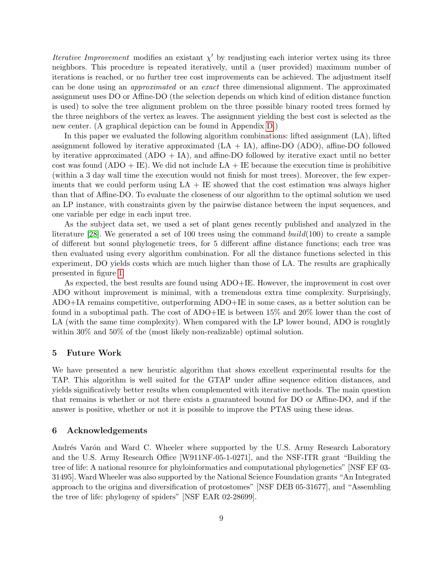*Iterative Improvement* modifies an existant  $\chi'$  by readjusting each interior vertex using its three neighbors. This procedure is repeated iteratively, until a (user provided) maximum number of iterations is reached, or no further tree cost improvements can be achieved. The adjustment itself can be done using an approximated or an exact three dimensional alignment. The approximated assignment uses DO or Affine-DO (the selection depends on which kind of edition distance function is used) to solve the tree alignment problem on the three possible binary rooted trees formed by the three neighbors of the vertex as leaves. The assignment yielding the best cost is selected as the new center. (A graphical depiction can be found in Appendix [D.](#page-14-0))

In this paper we evaluated the following algorithm combinations: lifted assignment (LA), lifted assignment followed by iterative approximated  $(LA + IA)$ , affine-DO (ADO), affine-DO followed by iterative approximated  $(ADO + IA)$ , and affine-DO followed by iterative exact until no better cost was found  $(ADO + IE)$ . We did not include  $LA + IE$  because the execution time is prohibitive (within a 3 day wall time the execution would not finish for most trees). Moreover, the few experiments that we could perform using  $LA + IE$  showed that the cost estimation was always higher than that of Affine-DO. To evaluate the closeness of our algorithm to the optimal solution we used an LP instance, with constraints given by the pairwise distance between the input sequences, and one variable per edge in each input tree.

As the subject data set, we used a set of plant genes recently published and analyzed in the literature [\[28\]](#page-12-13). We generated a set of 100 trees using the command  $build(100)$  to create a sample of different but sound phylogenetic trees, for 5 different affine distance functions; each tree was then evaluated using every algorithm combination. For all the distance functions selected in this experiment, DO yields costs which are much higher than those of LA. The results are graphically presented in figure [1.](#page-10-0)

As expected, the best results are found using ADO+IE. However, the improvement in cost over ADO without improvement is minimal, with a tremendous extra time complexity. Surprisingly, ADO+IA remains competitive, outperforming ADO+IE in some cases, as a better solution can be found in a suboptimal path. The cost of ADO+IE is between 15% and 20% lower than the cost of LA (with the same time complexity). When compared with the LP lower bound, ADO is roughtly within 30% and 50% of the (most likely non-realizable) optimal solution.

#### 5 Future Work

We have presented a new heuristic algorithm that shows excellent experimental results for the TAP. This algorithm is well suited for the GTAP under affine sequence edition distances, and yields significatively better results when complemented with iterative methods. The main question that remains is whether or not there exists a guaranteed bound for DO or Affine-DO, and if the answer is positive, whether or not it is possible to improve the PTAS using these ideas.

### 6 Acknowledgements

Andrés Varón and Ward C. Wheeler where supported by the U.S. Army Research Laboratory and the U.S. Army Research Office [W911NF-05-1-0271], and the NSF-ITR grant "Building the tree of life: A national resource for phyloinformatics and computational phylogenetics" [NSF EF 03- 31495]. Ward Wheeler was also supported by the National Science Foundation grants "An Integrated approach to the origina and diversification of protostomes" [NSF DEB 05-31677], and "Assembling the tree of life: phylogeny of spiders" [NSF EAR 02-28699].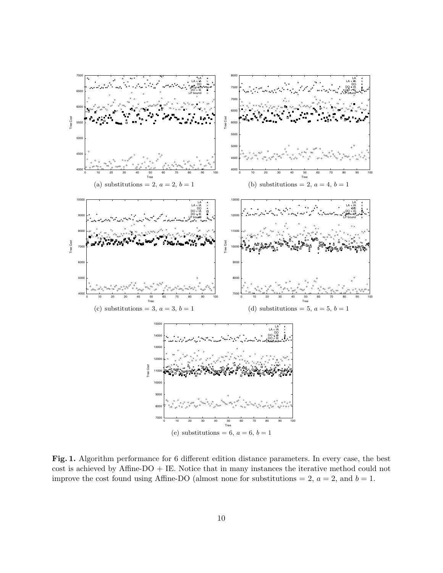

<span id="page-10-0"></span>Fig. 1. Algorithm performance for 6 different edition distance parameters. In every case, the best cost is achieved by Affine-DO + IE. Notice that in many instances the iterative method could not improve the cost found using Affine-DO (almost none for substitutions = 2,  $a = 2$ , and  $b = 1$ .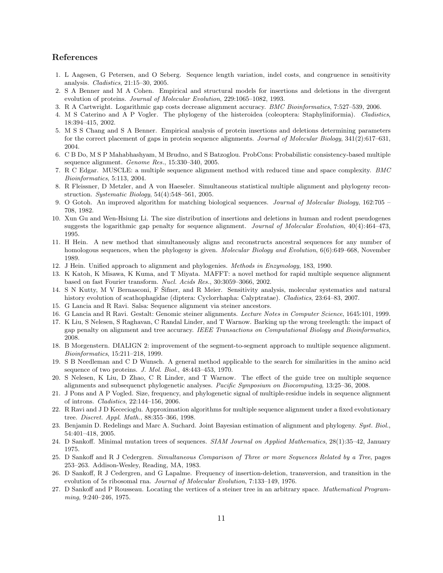## References

- <span id="page-11-21"></span>1. L Aagesen, G Petersen, and O Seberg. Sequence length variation, indel costs, and congruence in sensitivity analysis. Cladistics, 21:15–30, 2005.
- <span id="page-11-17"></span>2. S A Benner and M A Cohen. Empirical and structural models for insertions and deletions in the divergent evolution of proteins. Journal of Molecular Evolution, 229:1065–1082, 1993.
- <span id="page-11-15"></span>3. R A Cartwright. Logarithmic gap costs decrease alignment accuracy. BMC Bioinformatics, 7:527–539, 2006.
- <span id="page-11-20"></span>4. M S Caterino and A P Vogler. The phylogeny of the histeroidea (coleoptera: Staphyliniformia). Cladistics, 18:394–415, 2002.
- <span id="page-11-19"></span>5. M S S Chang and S A Benner. Empirical analysis of protein insertions and deletions determining parameters for the correct placement of gaps in protein sequence alignments. Journal of Molecular Biology, 341(2):617–631, 2004.
- <span id="page-11-5"></span>6. C B Do, M S P Mahabhashyam, M Brudno, and S Batzoglou. ProbCons: Probabilistic consistency-based multiple sequence alignment. Genome Res., 15:330–340, 2005.
- <span id="page-11-2"></span>7. R C Edgar. MUSCLE: a multiple sequence alignment method with reduced time and space complexity. BMC Bioinformatics, 5:113, 2004.
- <span id="page-11-3"></span>8. R Fleissner, D Metzler, and A von Haeseler. Simultaneous statistical multiple alignment and phylogeny reconstruction. Systematic Biology, 54(4):548–561, 2005.
- <span id="page-11-26"></span>9. O Gotoh. An improved algorithm for matching biological sequences. Journal of Molecular Biology, 162:705 – 708, 1982.
- <span id="page-11-18"></span>10. Xun Gu and Wen-Hsiung Li. The size distribution of insertions and deletions in human and rodent pseudogenes suggests the logarithmic gap penalty for sequence alignment. Journal of Molecular Evolution, 40(4):464–473, 1995.
- <span id="page-11-10"></span>11. H Hein. A new method that simultaneously aligns and reconstructs ancestral sequences for any number of homologous sequences, when the phylogeny is given. Molecular Biology and Evolution, 6(6):649–668, November 1989.
- <span id="page-11-11"></span>12. J Hein. Unified approach to alignment and phylogenies. Methods in Enzymology, 183, 1990.
- <span id="page-11-1"></span>13. K Katoh, K Misawa, K Kuma, and T Miyata. MAFFT: a novel method for rapid multiple sequence alignment based on fast Fourier transform. Nucl. Acids Res., 30:3059–3066, 2002.
- <span id="page-11-23"></span>14. S N Kutty, M V Bernasconi, F Šifner, and R Meier. Sensitivity analysis, molecular systematics and natural history evolution of scathophagidae (diptera: Cyclorrhapha: Calyptratae). Cladistics, 23:64–83, 2007.
- <span id="page-11-14"></span>15. G Lancia and R Ravi. Salsa: Sequence alignment via steiner ancestors.
- <span id="page-11-13"></span>16. G Lancia and R Ravi. Gestalt: Genomic steiner alignments. Lecture Notes in Computer Science, 1645:101, 1999.
- <span id="page-11-16"></span>17. K Liu, S Nelesen, S Raghavan, C Randal Linder, and T Warnow. Barking up the wrong treelength: the impact of gap penalty on alignment and tree accuracy. IEEE Transactions on Computational Biology and Bioinformatics, 2008.
- <span id="page-11-0"></span>18. B Morgenstern. DIALIGN 2: improvement of the segment-to-segment approach to multiple sequence alignment. Bioinformatics, 15:211–218, 1999.
- <span id="page-11-25"></span>19. S B Needleman and C D Wunsch. A general method applicable to the search for similarities in the amino acid sequence of two proteins. J. Mol. Biol., 48:443–453, 1970.
- <span id="page-11-6"></span>20. S Nelesen, K Liu, D Zhao, C R Linder, and T Warnow. The effect of the guide tree on multiple sequence alignments and subsequenct phylogenetic analyses. Pacific Symposium on Biocomputing, 13:25–36, 2008.
- <span id="page-11-22"></span>21. J Pons and A P Vogled. Size, frequency, and phylogenetic signal of multiple-residue indels in sequence alignment of introns. Cladistics, 22:144–156, 2006.
- <span id="page-11-24"></span>22. R Ravi and J D Kececioglu. Approximation algorithms for multiple sequence alignment under a fixed evolutionary tree. Discret. Appl. Math., 88:355–366, 1998.
- <span id="page-11-4"></span>23. Benjamin D. Redelings and Marc A. Suchard. Joint Bayesian estimation of alignment and phylogeny. Syst. Biol., 54:401–418, 2005.
- <span id="page-11-7"></span>24. D Sankoff. Minimal mutation trees of sequences. SIAM Journal on Applied Mathematics, 28(1):35–42, January 1975.
- <span id="page-11-9"></span>25. D Sankoff and R J Cedergren. Simultaneous Comparison of Three or more Sequences Related by a Tree, pages 253–263. Addison-Wesley, Reading, MA, 1983.
- <span id="page-11-8"></span>26. D Sankoff, R J Cedergren, and G Lapalme. Frequency of insertion-deletion, transversion, and transition in the evolution of 5s ribosomal rna. Journal of Molecular Evolution, 7:133–149, 1976.
- <span id="page-11-12"></span>27. D Sankoff and P Rousseau. Locating the vertices of a steiner tree in an arbitrary space. Mathematical Programming, 9:240–246, 1975.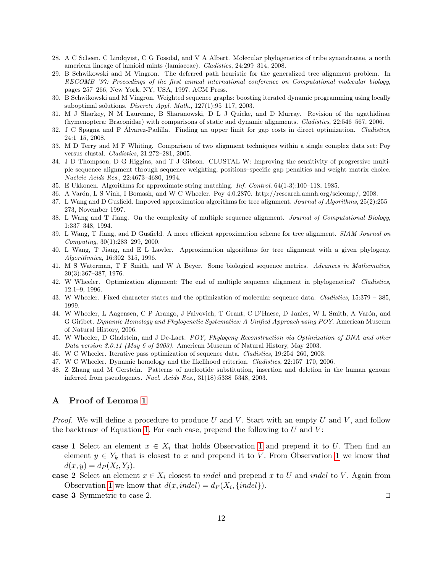- <span id="page-12-13"></span>28. A C Scheen, C Lindqvist, C G Fossdal, and V A Albert. Molecular phylogenetics of tribe synandraeae, a north american lineage of lamioid mints (lamiaceae). Cladistics, 24:299–314, 2008.
- <span id="page-12-17"></span>29. B Schwikowski and M Vingron. The deferred path heuristic for the generalized tree alignment problem. In RECOMB '97: Proceedings of the first annual international conference on Computational molecular biology, pages 257–266, New York, NY, USA, 1997. ACM Press.
- <span id="page-12-8"></span>30. B Schwikowski and M Vingron. Weighted sequence graphs: boosting iterated dynamic programming using locally suboptimal solutions. Discrete Appl. Math., 127(1):95–117, 2003.
- <span id="page-12-12"></span>31. M J Sharkey, N M Laurenne, B Sharanowski, D L J Quicke, and D Murray. Revision of the agathidinae (hymenoptera: Braconidae) with comparisons of static and dynamic alignments. Cladistics, 22:546–567, 2006.
- <span id="page-12-14"></span>32. J C Spagna and F Alvarez-Padilla. Finding an upper limit for gap costs in direct optimization. Cladistics, 24:1–15, 2008.
- <span id="page-12-11"></span>33. M D Terry and M F Whiting. Comparison of two alignment techniques within a single complex data set: Poy versus clustal. Cladistics, 21:272–281, 2005.
- <span id="page-12-0"></span>34. J D Thompson, D G Higgins, and T J Gibson. CLUSTAL W: Improving the sensitivity of progressive multiple sequence alignment through sequence weighting, positions–specific gap penalties and weight matrix choice. Nucleic Acids Res., 22:4673–4680, 1994.
- <span id="page-12-21"></span>35. E Ukkonen. Algorithms for approximate string matching. Inf. Control, 64(1-3):100–118, 1985.
- <span id="page-12-4"></span>36. A Var´on, L S Vinh, I Bomash, and W C Wheeler. Poy 4.0.2870. http://research.amnh.org/scicomp/, 2008.
- <span id="page-12-18"></span>37. L Wang and D Gusfield. Impoved approximation algorithms for tree alignment. Journal of Algorithms, 25(2):255– 273, November 1997.
- <span id="page-12-15"></span>38. L Wang and T Jiang. On the complexity of multiple sequence alignment. Journal of Computational Biology, 1:337–348, 1994.
- <span id="page-12-19"></span>39. L Wang, T Jiang, and D Gusfield. A more efficient approximation scheme for tree alignment. SIAM Journal on Computing, 30(1):283–299, 2000.
- <span id="page-12-5"></span>40. L Wang, T Jiang, and E L Lawler. Approximation algorithms for tree alignment with a given phylogeny. Algorithmica, 16:302–315, 1996.
- <span id="page-12-9"></span>41. M S Waterman, T F Smith, and W A Beyer. Some biological sequence metrics. Advances in Mathematics, 20(3):367–387, 1976.
- <span id="page-12-2"></span>42. W Wheeler. Optimization alignment: The end of multiple sequence alignment in phylogenetics? Cladistics, 12:1–9, 1996.
- <span id="page-12-6"></span>43. W Wheeler. Fixed character states and the optimization of molecular sequence data. Cladistics, 15:379 – 385, 1999.
- <span id="page-12-16"></span>44. W Wheeler, L Aagensen, C P Arango, J Faivovich, T Grant, C D'Haese, D Janies, W L Smith, A Varón, and G Giribet. Dynamic Homology and Phylogenetic Systematics: A Unified Approach using POY. American Museum of Natural History, 2006.
- <span id="page-12-3"></span>45. W Wheeler, D Gladstein, and J De-Laet. POY, Phylogeny Reconstruction via Optimization of DNA and other Data version 3.0.11 (May 6 of 2003). American Museum of Natural History, May 2003.
- <span id="page-12-7"></span>46. W C Wheeler. Iterative pass optimization of sequence data. Cladistics, 19:254–260, 2003.
- <span id="page-12-1"></span>47. W C Wheeler. Dynamic homology and the likelihood criterion. Cladistics, 22:157–170, 2006.
- <span id="page-12-10"></span>48. Z Zhang and M Gerstein. Patterns of nucleotide substitution, insertion and deletion in the human genome inferred from pseudogenes. Nucl. Acids Res., 31(18):5338-5348, 2003.

## <span id="page-12-20"></span>A Proof of Lemma [1](#page-4-2)

*Proof.* We will define a procedure to produce U and V. Start with an empty U and V, and follow the backtrace of Equation [1.](#page-4-5) For each case, prepend the following to  $U$  and  $V$ :

- case [1](#page-4-1) Select an element  $x \in X_i$  that holds Observation 1 and prepend it to U. Then find an element  $y \in Y_k$  that is closest to x and prepend it to V. From Observation [1](#page-4-1) we know that  $d(x, y) = d_P(X_i, Y_j).$
- case 2 Select an element  $x \in X_i$  closest to *indel* and prepend x to U and *indel* to V. Again from Observation [1](#page-4-1) we know that  $d(x, indel) = d_P(X_i, \{indel\}).$

**case 3** Symmetric to case 2.  $\Box$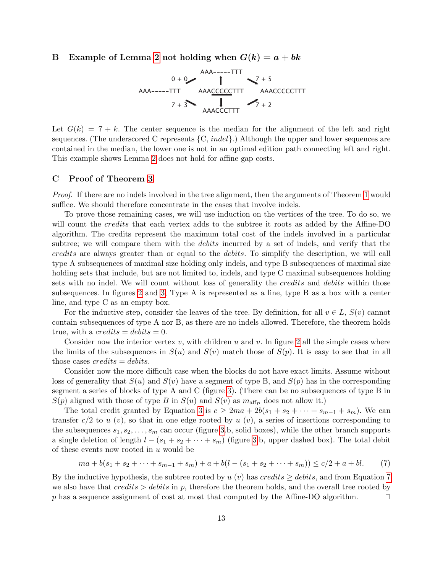## <span id="page-13-0"></span>B Example of Lemma [2](#page-4-3) not holding when  $G(k) = a + bk$

$$
0 + 0
$$
  
\n
$$
0 + 0
$$
  
\n
$$
0 + 0
$$
  
\n
$$
0 + 0
$$
  
\n
$$
0 + 0
$$
  
\n
$$
0 + 0
$$
  
\n
$$
0 + 0
$$
  
\n
$$
0 + 0
$$
  
\n
$$
0 + 0
$$
  
\n
$$
0 + 0
$$
  
\n
$$
0 + 0
$$
  
\n
$$
0 + 0
$$
  
\n
$$
0 + 0
$$
  
\n
$$
0 + 0
$$
  
\n
$$
0 + 0
$$
  
\n
$$
0 + 0
$$
  
\n
$$
0 + 0
$$
  
\n
$$
0 + 0
$$
  
\n
$$
0 + 0
$$
  
\n
$$
0 + 0
$$
  
\n
$$
0 + 0
$$
  
\n
$$
0 + 0
$$
  
\n
$$
0 + 0
$$
  
\n
$$
0 + 0
$$
  
\n
$$
0 + 0
$$
  
\n
$$
0 + 0
$$
  
\n
$$
0 + 0
$$
  
\n
$$
0 + 0
$$
  
\n
$$
0 + 0
$$
  
\n
$$
0 + 0
$$
  
\n
$$
0 + 0
$$
  
\n
$$
0 + 0
$$
  
\n
$$
0 + 0
$$
  
\n
$$
0 + 0
$$
  
\n
$$
0 + 0
$$
  
\n
$$
0 + 0
$$
  
\n
$$
0 + 0
$$
  
\n
$$
0 + 0
$$
  
\n
$$
0 + 0
$$
  
\n
$$
0 + 0
$$
  
\n
$$
0 + 0
$$
  
\n
$$
0 + 0
$$
  
\n
$$
0 + 0
$$
  
\n
$$
0 + 0
$$
  
\n
$$
0 + 0
$$
  
\n
$$
0 + 0
$$
  
\n
$$
0 + 0
$$
  
\n
$$
0 + 0
$$
<

Let  $G(k) = 7 + k$ . The center sequence is the median for the alignment of the left and right sequences. (The underscored C represents  $\{C, \text{indel}\}\$ .) Although the upper and lower sequences are contained in the median, the lower one is not in an optimal edition path connecting left and right. This example shows Lemma [2](#page-4-3) does not hold for affine gap costs.

### <span id="page-13-1"></span>C Proof of Theorem [3](#page-8-1)

Proof. If there are no indels involved in the tree alignment, then the arguments of Theorem [1](#page-4-0) would suffice. We should therefore concentrate in the cases that involve indels.

To prove those remaining cases, we will use induction on the vertices of the tree. To do so, we will count the credits that each vertex adds to the subtree it roots as added by the Affine-DO algorithm. The credits represent the maximum total cost of the indels involved in a particular subtree; we will compare them with the *debits* incurred by a set of indels, and verify that the credits are always greater than or equal to the debits. To simplify the description, we will call type A subsequences of maximal size holding only indels, and type B subsequences of maximal size holding sets that include, but are not limited to, indels, and type C maximal subsequences holding sets with no indel. We will count without loss of generality the *credits* and *debits* within those subsequences. In figures [2](#page-14-1) and [3,](#page-14-2) Type A is represented as a line, type B as a box with a center line, and type C as an empty box.

For the inductive step, consider the leaves of the tree. By definition, for all  $v \in L$ ,  $S(v)$  cannot contain subsequences of type A nor B, as there are no indels allowed. Therefore, the theorem holds true, with a *credits* =  $debits = 0$ .

Consider now the interior vertex  $v$ , with children  $u$  and  $v$ . In figure [2](#page-14-1) all the simple cases where the limits of the subsequences in  $S(u)$  and  $S(v)$  match those of  $S(p)$ . It is easy to see that in all those cases  $credits = debris$ .

Consider now the more difficult case when the blocks do not have exact limits. Assume without loss of generality that  $S(u)$  and  $S(v)$  have a segment of type B, and  $S(p)$  has in the corresponding segment a series of blocks of type A and C (figure [3\)](#page-14-2). (There can be no subsequences of type B in  $S(p)$  aligned with those of type B in  $S(u)$  and  $S(v)$  as  $m_{\text{aff}_P}$  does not allow it.)

The total credit granted by Equation [3](#page-6-0) is  $c \geq 2ma + 2b(s_1 + s_2 + \cdots + s_{m-1} + s_m)$ . We can transfer  $c/2$  to u  $(v)$ , so that in one edge rooted by u  $(v)$ , a series of insertions corresponding to the subsequences  $s_1, s_2, \ldots, s_m$  can occur (figure [3.](#page-14-2)b, solid boxes), while the other branch supports a single deletion of length  $l - (s_1 + s_2 + \cdots + s_m)$  (figure [3.](#page-14-2)b, upper dashed box). The total debit of these events now rooted in  $u$  would be

<span id="page-13-2"></span>
$$
ma + b(s_1 + s_2 + \dots + s_{m-1} + s_m) + a + b(l - (s_1 + s_2 + \dots + s_m)) \le c/2 + a + bl. \tag{7}
$$

By the inductive hypothesis, the subtree rooted by u (v) has credits  $\ge$  debits, and from Equation [7](#page-13-2) we also have that credits  $>$  debits in p, therefore the theorem holds, and the overall tree rooted by p has a sequence assignment of cost at most that computed by the Affine-DO algorithm.  $\Box$